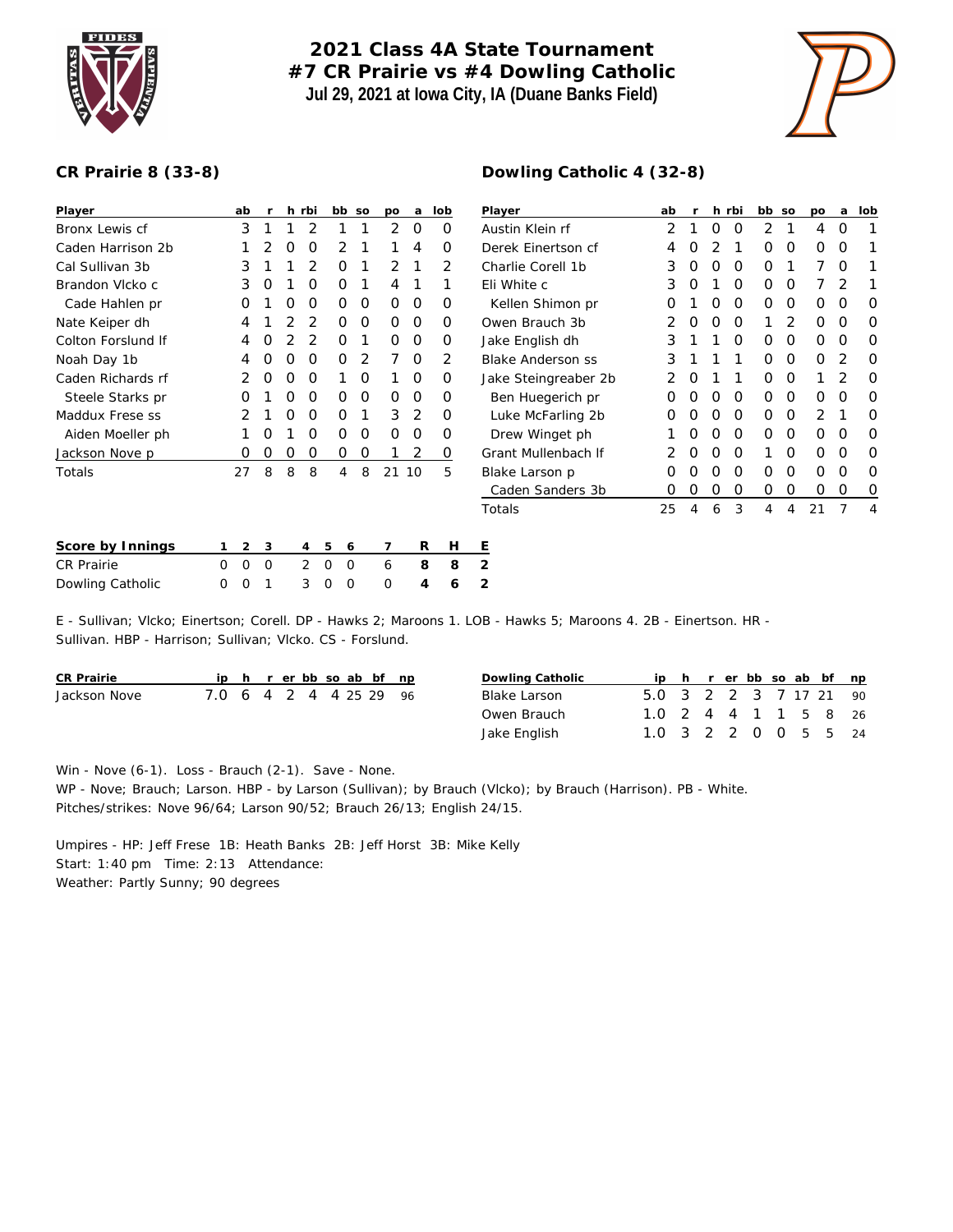

## **2021 Class 4A State Tournament #7 CR Prairie vs #4 Dowling Catholic Jul 29, 2021 at Iowa City, IA (Duane Banks Field)**



## **CR Prairie 8 (33-8)**

| Player             | ab               |   |   | h rbi | bb so  |   | po       | a        | lob | Player                   | ab |   |   | h rbi | bb so    |          | po | a        | lob |
|--------------------|------------------|---|---|-------|--------|---|----------|----------|-----|--------------------------|----|---|---|-------|----------|----------|----|----------|-----|
| Bronx Lewis cf     | 3                |   |   | 2     |        |   | 2        | 0        | 0   | Austin Klein rf          | 2  |   | Ο | O     | 2        |          | 4  | $\Omega$ |     |
| Caden Harrison 2b  |                  |   | 0 | O     | 2      |   |          | 4        | 0   | Derek Einertson cf       | 4  | Ο |   |       | O        | $\Omega$ | O  | 0        |     |
| Cal Sullivan 3b    | 3                |   |   | 2     | O      |   | 2        |          | 2   | Charlie Corell 1b        | 3  | 0 | Ο | 0     | O        |          |    | 0        |     |
| Brandon Vlcko c    | 3                | O |   | O     | Ο      |   | 4        |          |     | Eli White c              | 3  | Ő |   | O     | $\Omega$ | O        |    |          |     |
| Cade Hahlen pr     | Ο                |   | O | O     | Ο      | 0 | $\Omega$ | $\circ$  | 0   | Kellen Shimon pr         | Ο  |   | O | O     | $\Omega$ | $\Omega$ | 0  | 0        |     |
| Nate Keiper dh     | 4                |   |   |       | O      | 0 | $\Omega$ | 0        | O   | Owen Brauch 3b           |    | Ο | Ο | O     |          |          | 0  | 0        | O   |
| Colton Forslund If |                  | O |   |       | Ο      |   | 0        | $\Omega$ | O   | Jake English dh          | 3  |   |   | O     | $\Omega$ | $\Omega$ | 0  | $\Omega$ |     |
| Noah Day 1b        |                  |   | O | O     | Ο      |   |          | $\Omega$ | 2   | <b>Blake Anderson ss</b> | 3  |   |   |       | Ω        | O        | Ο  |          |     |
| Caden Richards rf  |                  | 0 | Ο | O     |        | 0 |          | 0        | 0   | Jake Steingreaber 2b     | 2  | Ο |   |       | O        | $\Omega$ |    |          | O   |
| Steele Starks pr   | Ο                |   | 0 | 0     | 0      | 0 | 0        | 0        | 0   | Ben Huegerich pr         | 0  | 0 | O | 0     | $\Omega$ | 0        | 0  | $\Omega$ | O   |
| Maddux Frese ss    |                  |   | O | O     | Ο      |   | 3        | 2        | 0   | Luke McFarling 2b        | 0  | O | 0 | 0     | $\Omega$ | $\Omega$ | 2  |          |     |
| Aiden Moeller ph   |                  | O |   | O     | O      | O | 0        | 0        | 0   | Drew Winget ph           |    | 0 | Ο | 0     | $\Omega$ | $\Omega$ | 0  | 0        | O   |
| Jackson Nove p     | Ő                | 0 | O | O     | 0      | O |          | 2        | 0   | Grant Mullenbach If      |    | O | Ο | O     |          | O        | 0  | 0        | O   |
| Totals             | 27               | 8 | 8 | 8     | 4      | 8 |          | 21 10    | 5   | Blake Larson p           | Ο  |   |   | O     | O        | $\Omega$ | 0  | O        |     |
|                    |                  |   |   |       |        |   |          |          |     | Caden Sanders 3b         | 0  |   | Ο | 0     | $\Omega$ | O        | 0  | 0        | O   |
|                    |                  |   |   |       |        |   |          |          |     | Totals                   | 25 | 4 | 6 | 3     | 4        | 4        | 21 |          | 4   |
| Score by Innings   | $\overline{2}$   | 3 |   | 4     | 5<br>6 |   | 7        | R        | Н   | Ε                        |    |   |   |       |          |          |    |          |     |
| CR Prairie         | $\mathbf 0$<br>0 | 0 |   | 2     | 0<br>0 |   | 6        | 8        | 8   | 2                        |    |   |   |       |          |          |    |          |     |

E - Sullivan; Vlcko; Einertson; Corell. DP - Hawks 2; Maroons 1. LOB - Hawks 5; Maroons 4. 2B - Einertson. HR - Sullivan. HBP - Harrison; Sullivan; Vlcko. CS - Forslund.

| CR Prairie   |                        |  |  |  | ip h r er bb so ab bf np |  | Dowling Catholic |                        |  |  |  | ip h r er bb so ab bf np |  |
|--------------|------------------------|--|--|--|--------------------------|--|------------------|------------------------|--|--|--|--------------------------|--|
| Jackson Nove | 7.0 6 4 2 4 4 25 29 96 |  |  |  |                          |  | Blake Larson     | 5.0 3 2 2 3 7 17 21 90 |  |  |  |                          |  |
|              |                        |  |  |  |                          |  | Owen Brauch      | 1.0 2 4 4 1 1 5 8 26   |  |  |  |                          |  |
|              |                        |  |  |  |                          |  | Jake English     | 1.0 3 2 2 0 0 5 5 24   |  |  |  |                          |  |

Win - Nove (6-1). Loss - Brauch (2-1). Save - None.

WP - Nove; Brauch; Larson. HBP - by Larson (Sullivan); by Brauch (Vlcko); by Brauch (Harrison). PB - White. Pitches/strikes: Nove 96/64; Larson 90/52; Brauch 26/13; English 24/15.

Umpires - HP: Jeff Frese 1B: Heath Banks 2B: Jeff Horst 3B: Mike Kelly Start: 1:40 pm Time: 2:13 Attendance: Weather: Partly Sunny; 90 degrees

Dowling Catholic 0 0 1 3 0 0 0 **4 6 2**

## **Dowling Catholic 4 (32-8)**